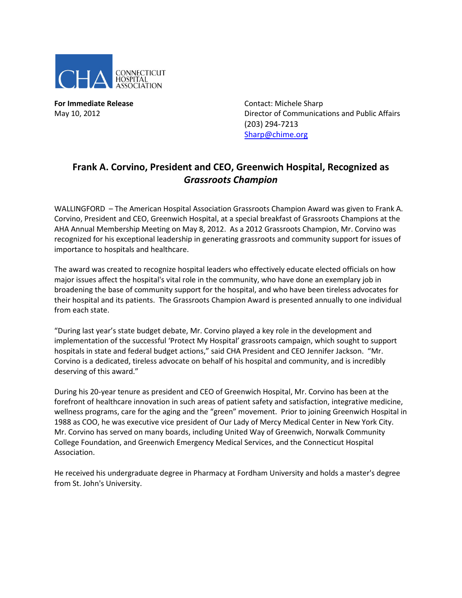

**For Immediate Release Contact: Michele Sharp** 

May 10, 2012 Director of Communications and Public Affairs (203) 294-7213 [Sharp@chime.org](mailto:Sharp@chime.org)

## **Frank A. Corvino, President and CEO, Greenwich Hospital, Recognized as**  *Grassroots Champion*

WALLINGFORD – The American Hospital Association Grassroots Champion Award was given to Frank A. Corvino, President and CEO, Greenwich Hospital, at a special breakfast of Grassroots Champions at the AHA Annual Membership Meeting on May 8, 2012. As a 2012 Grassroots Champion, Mr. Corvino was recognized for his exceptional leadership in generating grassroots and community support for issues of importance to hospitals and healthcare.

The award was created to recognize hospital leaders who effectively educate elected officials on how major issues affect the hospital's vital role in the community, who have done an exemplary job in broadening the base of community support for the hospital, and who have been tireless advocates for their hospital and its patients. The Grassroots Champion Award is presented annually to one individual from each state.

"During last year's state budget debate, Mr. Corvino played a key role in the development and implementation of the successful 'Protect My Hospital' grassroots campaign, which sought to support hospitals in state and federal budget actions," said CHA President and CEO Jennifer Jackson. "Mr. Corvino is a dedicated, tireless advocate on behalf of his hospital and community, and is incredibly deserving of this award."

During his 20-year tenure as president and CEO of Greenwich Hospital, Mr. Corvino has been at the forefront of healthcare innovation in such areas of patient safety and satisfaction, integrative medicine, wellness programs, care for the aging and the "green" movement. Prior to joining Greenwich Hospital in 1988 as COO, he was executive vice president of Our Lady of Mercy Medical Center in New York City. Mr. Corvino has served on many boards, including United Way of Greenwich, Norwalk Community College Foundation, and Greenwich Emergency Medical Services, and the Connecticut Hospital Association.

He received his undergraduate degree in Pharmacy at Fordham University and holds a master's degree from St. John's University.